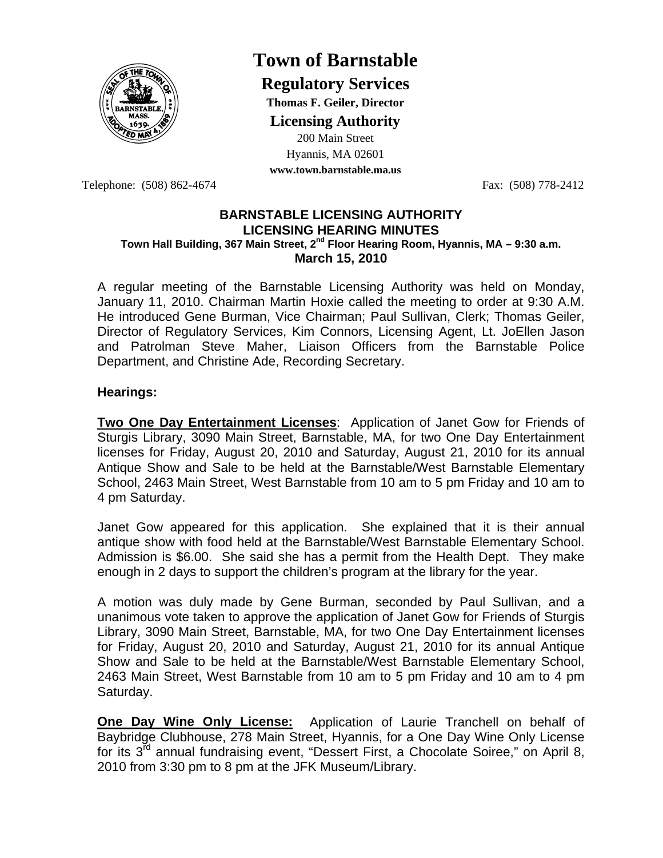

## **Town of Barnstable**

**Regulatory Services**

**Thomas F. Geiler, Director** 

**Licensing Authority**

200 Main Street Hyannis, MA 02601

**www.town.barnstable.ma.us**

Telephone: (508) 862-4674 Fax: (508) 778-2412

## **BARNSTABLE LICENSING AUTHORITY LICENSING HEARING MINUTES Town Hall Building, 367 Main Street, 2nd Floor Hearing Room, Hyannis, MA – 9:30 a.m. March 15, 2010**

A regular meeting of the Barnstable Licensing Authority was held on Monday, January 11, 2010. Chairman Martin Hoxie called the meeting to order at 9:30 A.M. He introduced Gene Burman, Vice Chairman; Paul Sullivan, Clerk; Thomas Geiler, Director of Regulatory Services, Kim Connors, Licensing Agent, Lt. JoEllen Jason and Patrolman Steve Maher, Liaison Officers from the Barnstable Police Department, and Christine Ade, Recording Secretary.

## **Hearings:**

**Two One Day Entertainment Licenses**: Application of Janet Gow for Friends of Sturgis Library, 3090 Main Street, Barnstable, MA, for two One Day Entertainment licenses for Friday, August 20, 2010 and Saturday, August 21, 2010 for its annual Antique Show and Sale to be held at the Barnstable/West Barnstable Elementary School, 2463 Main Street, West Barnstable from 10 am to 5 pm Friday and 10 am to 4 pm Saturday.

Janet Gow appeared for this application. She explained that it is their annual antique show with food held at the Barnstable/West Barnstable Elementary School. Admission is \$6.00. She said she has a permit from the Health Dept. They make enough in 2 days to support the children's program at the library for the year.

A motion was duly made by Gene Burman, seconded by Paul Sullivan, and a unanimous vote taken to approve the application of Janet Gow for Friends of Sturgis Library, 3090 Main Street, Barnstable, MA, for two One Day Entertainment licenses for Friday, August 20, 2010 and Saturday, August 21, 2010 for its annual Antique Show and Sale to be held at the Barnstable/West Barnstable Elementary School, 2463 Main Street, West Barnstable from 10 am to 5 pm Friday and 10 am to 4 pm Saturday.

**One Day Wine Only License:** Application of Laurie Tranchell on behalf of Baybridge Clubhouse, 278 Main Street, Hyannis, for a One Day Wine Only License for its  $3^{\bar{r}d}$  annual fundraising event, "Dessert First, a Chocolate Soiree," on April 8, 2010 from 3:30 pm to 8 pm at the JFK Museum/Library.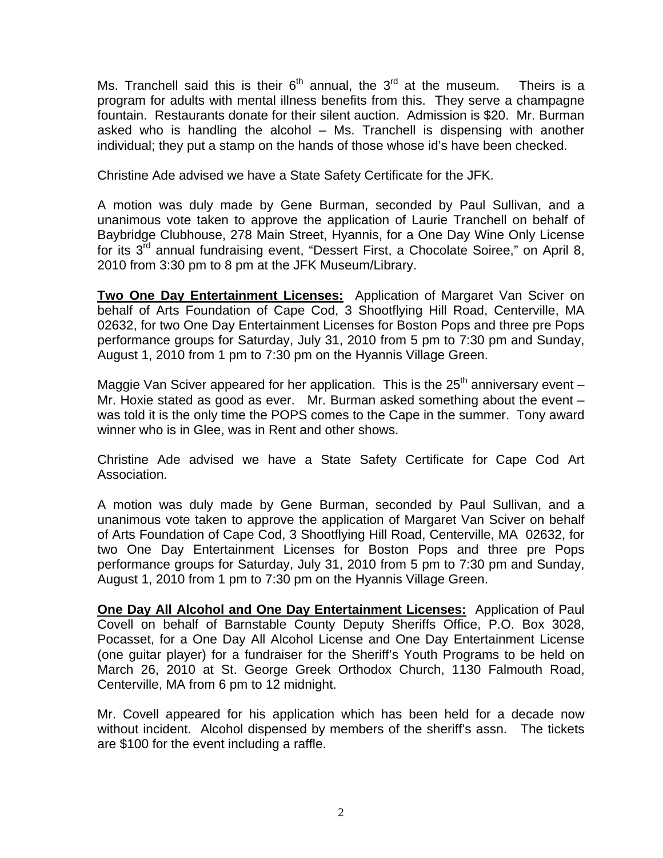Ms. Tranchell said this is their  $6<sup>th</sup>$  annual, the  $3<sup>rd</sup>$  at the museum. Theirs is a program for adults with mental illness benefits from this. They serve a champagne fountain. Restaurants donate for their silent auction. Admission is \$20. Mr. Burman asked who is handling the alcohol – Ms. Tranchell is dispensing with another individual; they put a stamp on the hands of those whose id's have been checked.

Christine Ade advised we have a State Safety Certificate for the JFK.

A motion was duly made by Gene Burman, seconded by Paul Sullivan, and a unanimous vote taken to approve the application of Laurie Tranchell on behalf of Baybridge Clubhouse, 278 Main Street, Hyannis, for a One Day Wine Only License for its  $3<sup>rd</sup>$  annual fundraising event, "Dessert First, a Chocolate Soiree," on April 8, 2010 from 3:30 pm to 8 pm at the JFK Museum/Library.

**Two One Day Entertainment Licenses:** Application of Margaret Van Sciver on behalf of Arts Foundation of Cape Cod, 3 Shootflying Hill Road, Centerville, MA 02632, for two One Day Entertainment Licenses for Boston Pops and three pre Pops performance groups for Saturday, July 31, 2010 from 5 pm to 7:30 pm and Sunday, August 1, 2010 from 1 pm to 7:30 pm on the Hyannis Village Green.

Maggie Van Sciver appeared for her application. This is the  $25<sup>th</sup>$  anniversary event – Mr. Hoxie stated as good as ever. Mr. Burman asked something about the event – was told it is the only time the POPS comes to the Cape in the summer. Tony award winner who is in Glee, was in Rent and other shows.

Christine Ade advised we have a State Safety Certificate for Cape Cod Art Association.

A motion was duly made by Gene Burman, seconded by Paul Sullivan, and a unanimous vote taken to approve the application of Margaret Van Sciver on behalf of Arts Foundation of Cape Cod, 3 Shootflying Hill Road, Centerville, MA 02632, for two One Day Entertainment Licenses for Boston Pops and three pre Pops performance groups for Saturday, July 31, 2010 from 5 pm to 7:30 pm and Sunday, August 1, 2010 from 1 pm to 7:30 pm on the Hyannis Village Green.

**One Day All Alcohol and One Day Entertainment Licenses:** Application of Paul Covell on behalf of Barnstable County Deputy Sheriffs Office, P.O. Box 3028, Pocasset, for a One Day All Alcohol License and One Day Entertainment License (one guitar player) for a fundraiser for the Sheriff's Youth Programs to be held on March 26, 2010 at St. George Greek Orthodox Church, 1130 Falmouth Road, Centerville, MA from 6 pm to 12 midnight.

Mr. Covell appeared for his application which has been held for a decade now without incident. Alcohol dispensed by members of the sheriff's assn. The tickets are \$100 for the event including a raffle.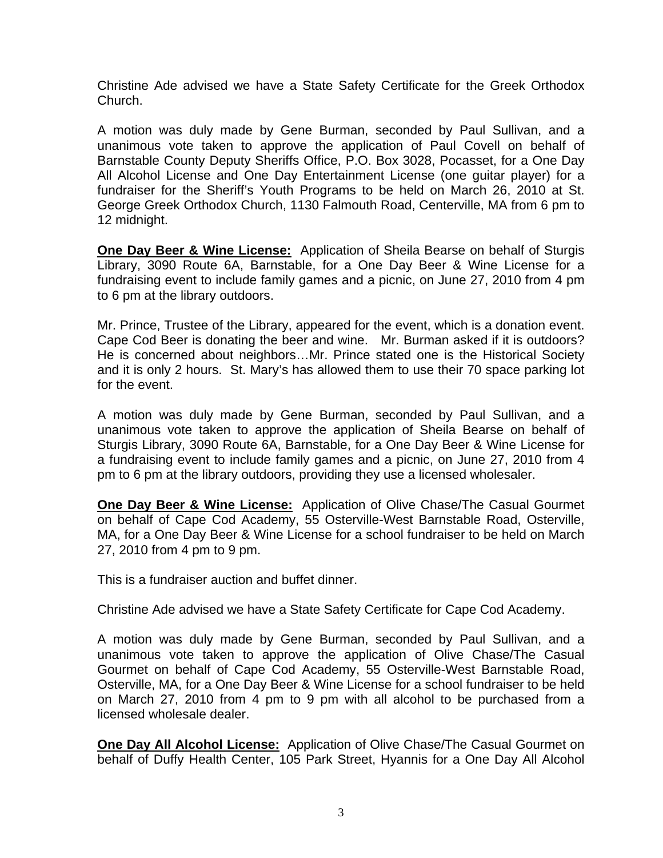Christine Ade advised we have a State Safety Certificate for the Greek Orthodox Church.

A motion was duly made by Gene Burman, seconded by Paul Sullivan, and a unanimous vote taken to approve the application of Paul Covell on behalf of Barnstable County Deputy Sheriffs Office, P.O. Box 3028, Pocasset, for a One Day All Alcohol License and One Day Entertainment License (one guitar player) for a fundraiser for the Sheriff's Youth Programs to be held on March 26, 2010 at St. George Greek Orthodox Church, 1130 Falmouth Road, Centerville, MA from 6 pm to 12 midnight.

**One Day Beer & Wine License:** Application of Sheila Bearse on behalf of Sturgis Library, 3090 Route 6A, Barnstable, for a One Day Beer & Wine License for a fundraising event to include family games and a picnic, on June 27, 2010 from 4 pm to 6 pm at the library outdoors.

Mr. Prince, Trustee of the Library, appeared for the event, which is a donation event. Cape Cod Beer is donating the beer and wine. Mr. Burman asked if it is outdoors? He is concerned about neighbors…Mr. Prince stated one is the Historical Society and it is only 2 hours. St. Mary's has allowed them to use their 70 space parking lot for the event.

A motion was duly made by Gene Burman, seconded by Paul Sullivan, and a unanimous vote taken to approve the application of Sheila Bearse on behalf of Sturgis Library, 3090 Route 6A, Barnstable, for a One Day Beer & Wine License for a fundraising event to include family games and a picnic, on June 27, 2010 from 4 pm to 6 pm at the library outdoors, providing they use a licensed wholesaler.

**One Day Beer & Wine License:** Application of Olive Chase/The Casual Gourmet on behalf of Cape Cod Academy, 55 Osterville-West Barnstable Road, Osterville, MA, for a One Day Beer & Wine License for a school fundraiser to be held on March 27, 2010 from 4 pm to 9 pm.

This is a fundraiser auction and buffet dinner.

Christine Ade advised we have a State Safety Certificate for Cape Cod Academy.

A motion was duly made by Gene Burman, seconded by Paul Sullivan, and a unanimous vote taken to approve the application of Olive Chase/The Casual Gourmet on behalf of Cape Cod Academy, 55 Osterville-West Barnstable Road, Osterville, MA, for a One Day Beer & Wine License for a school fundraiser to be held on March 27, 2010 from 4 pm to 9 pm with all alcohol to be purchased from a licensed wholesale dealer.

**One Day All Alcohol License:** Application of Olive Chase/The Casual Gourmet on behalf of Duffy Health Center, 105 Park Street, Hyannis for a One Day All Alcohol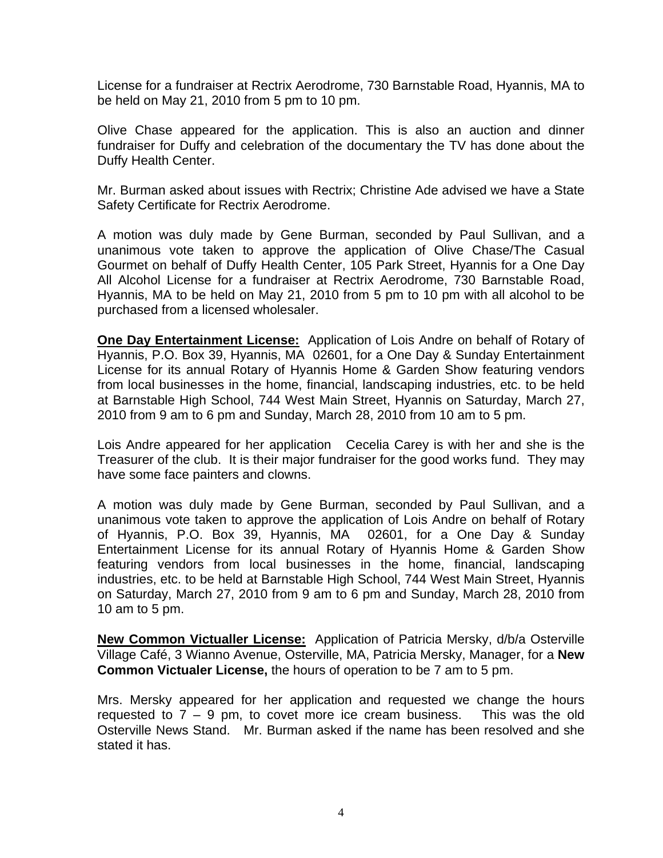License for a fundraiser at Rectrix Aerodrome, 730 Barnstable Road, Hyannis, MA to be held on May 21, 2010 from 5 pm to 10 pm.

Olive Chase appeared for the application. This is also an auction and dinner fundraiser for Duffy and celebration of the documentary the TV has done about the Duffy Health Center.

Mr. Burman asked about issues with Rectrix; Christine Ade advised we have a State Safety Certificate for Rectrix Aerodrome.

A motion was duly made by Gene Burman, seconded by Paul Sullivan, and a unanimous vote taken to approve the application of Olive Chase/The Casual Gourmet on behalf of Duffy Health Center, 105 Park Street, Hyannis for a One Day All Alcohol License for a fundraiser at Rectrix Aerodrome, 730 Barnstable Road, Hyannis, MA to be held on May 21, 2010 from 5 pm to 10 pm with all alcohol to be purchased from a licensed wholesaler.

**One Day Entertainment License:** Application of Lois Andre on behalf of Rotary of Hyannis, P.O. Box 39, Hyannis, MA 02601, for a One Day & Sunday Entertainment License for its annual Rotary of Hyannis Home & Garden Show featuring vendors from local businesses in the home, financial, landscaping industries, etc. to be held at Barnstable High School, 744 West Main Street, Hyannis on Saturday, March 27, 2010 from 9 am to 6 pm and Sunday, March 28, 2010 from 10 am to 5 pm.

Lois Andre appeared for her application Cecelia Carey is with her and she is the Treasurer of the club. It is their major fundraiser for the good works fund. They may have some face painters and clowns.

A motion was duly made by Gene Burman, seconded by Paul Sullivan, and a unanimous vote taken to approve the application of Lois Andre on behalf of Rotary of Hyannis, P.O. Box 39, Hyannis, MA 02601, for a One Day & Sunday Entertainment License for its annual Rotary of Hyannis Home & Garden Show featuring vendors from local businesses in the home, financial, landscaping industries, etc. to be held at Barnstable High School, 744 West Main Street, Hyannis on Saturday, March 27, 2010 from 9 am to 6 pm and Sunday, March 28, 2010 from 10 am to 5 pm.

**New Common Victualler License:** Application of Patricia Mersky, d/b/a Osterville Village Café, 3 Wianno Avenue, Osterville, MA, Patricia Mersky, Manager, for a **New Common Victualer License,** the hours of operation to be 7 am to 5 pm.

Mrs. Mersky appeared for her application and requested we change the hours requested to  $7 - 9$  pm, to covet more ice cream business. This was the old Osterville News Stand. Mr. Burman asked if the name has been resolved and she stated it has.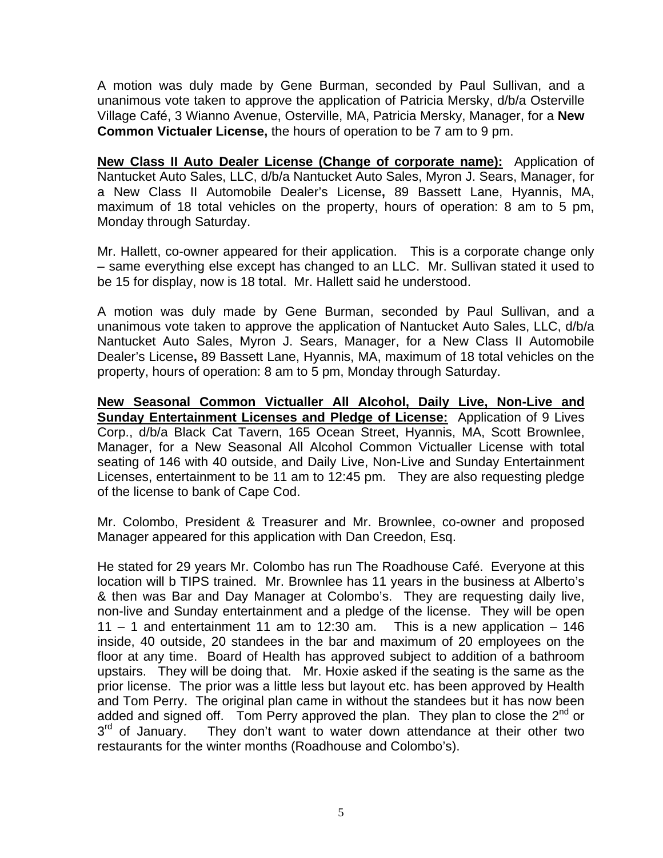A motion was duly made by Gene Burman, seconded by Paul Sullivan, and a unanimous vote taken to approve the application of Patricia Mersky, d/b/a Osterville Village Café, 3 Wianno Avenue, Osterville, MA, Patricia Mersky, Manager, for a **New Common Victualer License,** the hours of operation to be 7 am to 9 pm.

**New Class II Auto Dealer License (Change of corporate name):** Application of Nantucket Auto Sales, LLC, d/b/a Nantucket Auto Sales, Myron J. Sears, Manager, for a New Class II Automobile Dealer's License**,** 89 Bassett Lane, Hyannis, MA, maximum of 18 total vehicles on the property, hours of operation: 8 am to 5 pm, Monday through Saturday.

Mr. Hallett, co-owner appeared for their application. This is a corporate change only – same everything else except has changed to an LLC. Mr. Sullivan stated it used to be 15 for display, now is 18 total. Mr. Hallett said he understood.

A motion was duly made by Gene Burman, seconded by Paul Sullivan, and a unanimous vote taken to approve the application of Nantucket Auto Sales, LLC, d/b/a Nantucket Auto Sales, Myron J. Sears, Manager, for a New Class II Automobile Dealer's License**,** 89 Bassett Lane, Hyannis, MA, maximum of 18 total vehicles on the property, hours of operation: 8 am to 5 pm, Monday through Saturday.

**New Seasonal Common Victualler All Alcohol, Daily Live, Non-Live and Sunday Entertainment Licenses and Pledge of License:** Application of 9 Lives Corp., d/b/a Black Cat Tavern, 165 Ocean Street, Hyannis, MA, Scott Brownlee, Manager, for a New Seasonal All Alcohol Common Victualler License with total seating of 146 with 40 outside, and Daily Live, Non-Live and Sunday Entertainment Licenses, entertainment to be 11 am to 12:45 pm. They are also requesting pledge of the license to bank of Cape Cod.

Mr. Colombo, President & Treasurer and Mr. Brownlee, co-owner and proposed Manager appeared for this application with Dan Creedon, Esq.

He stated for 29 years Mr. Colombo has run The Roadhouse Café. Everyone at this location will b TIPS trained. Mr. Brownlee has 11 years in the business at Alberto's & then was Bar and Day Manager at Colombo's. They are requesting daily live, non-live and Sunday entertainment and a pledge of the license. They will be open 11 – 1 and entertainment 11 am to 12:30 am. This is a new application – 146 inside, 40 outside, 20 standees in the bar and maximum of 20 employees on the floor at any time. Board of Health has approved subject to addition of a bathroom upstairs. They will be doing that. Mr. Hoxie asked if the seating is the same as the prior license. The prior was a little less but layout etc. has been approved by Health and Tom Perry. The original plan came in without the standees but it has now been added and signed off. Tom Perry approved the plan. They plan to close the  $2^{nd}$  or  $3<sup>rd</sup>$  of January. They don't want to water down attendance at their other two restaurants for the winter months (Roadhouse and Colombo's).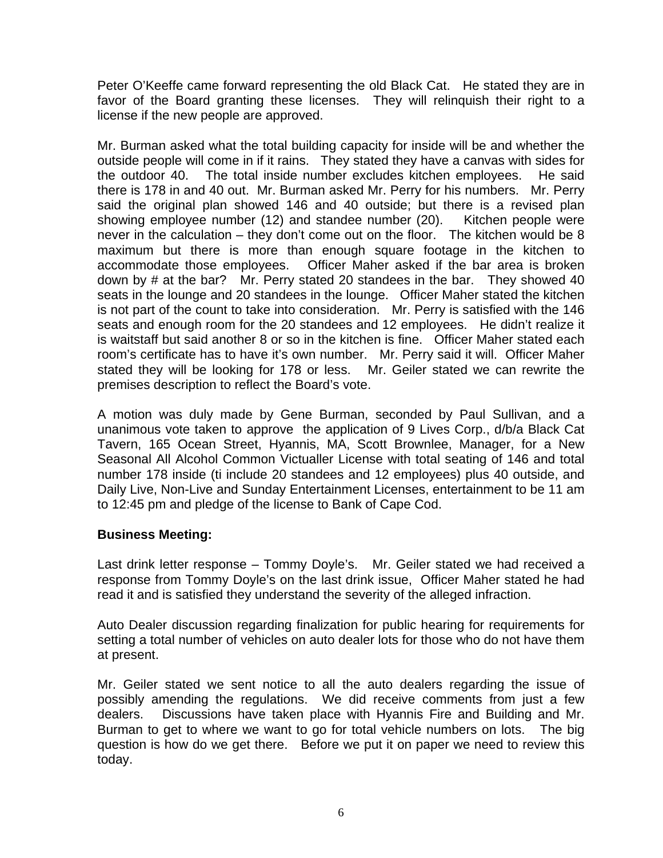Peter O'Keeffe came forward representing the old Black Cat. He stated they are in favor of the Board granting these licenses. They will relinquish their right to a license if the new people are approved.

Mr. Burman asked what the total building capacity for inside will be and whether the outside people will come in if it rains. They stated they have a canvas with sides for the outdoor 40. The total inside number excludes kitchen employees. He said there is 178 in and 40 out. Mr. Burman asked Mr. Perry for his numbers. Mr. Perry said the original plan showed 146 and 40 outside; but there is a revised plan showing employee number (12) and standee number (20). Kitchen people were never in the calculation – they don't come out on the floor. The kitchen would be 8 maximum but there is more than enough square footage in the kitchen to accommodate those employees. Officer Maher asked if the bar area is broken down by # at the bar? Mr. Perry stated 20 standees in the bar. They showed 40 seats in the lounge and 20 standees in the lounge. Officer Maher stated the kitchen is not part of the count to take into consideration. Mr. Perry is satisfied with the 146 seats and enough room for the 20 standees and 12 employees. He didn't realize it is waitstaff but said another 8 or so in the kitchen is fine. Officer Maher stated each room's certificate has to have it's own number. Mr. Perry said it will. Officer Maher stated they will be looking for 178 or less. Mr. Geiler stated we can rewrite the premises description to reflect the Board's vote.

A motion was duly made by Gene Burman, seconded by Paul Sullivan, and a unanimous vote taken to approve the application of 9 Lives Corp., d/b/a Black Cat Tavern, 165 Ocean Street, Hyannis, MA, Scott Brownlee, Manager, for a New Seasonal All Alcohol Common Victualler License with total seating of 146 and total number 178 inside (ti include 20 standees and 12 employees) plus 40 outside, and Daily Live, Non-Live and Sunday Entertainment Licenses, entertainment to be 11 am to 12:45 pm and pledge of the license to Bank of Cape Cod.

## **Business Meeting:**

Last drink letter response – Tommy Doyle's. Mr. Geiler stated we had received a response from Tommy Doyle's on the last drink issue, Officer Maher stated he had read it and is satisfied they understand the severity of the alleged infraction.

Auto Dealer discussion regarding finalization for public hearing for requirements for setting a total number of vehicles on auto dealer lots for those who do not have them at present.

Mr. Geiler stated we sent notice to all the auto dealers regarding the issue of possibly amending the regulations. We did receive comments from just a few dealers. Discussions have taken place with Hyannis Fire and Building and Mr. Burman to get to where we want to go for total vehicle numbers on lots. The big question is how do we get there. Before we put it on paper we need to review this today.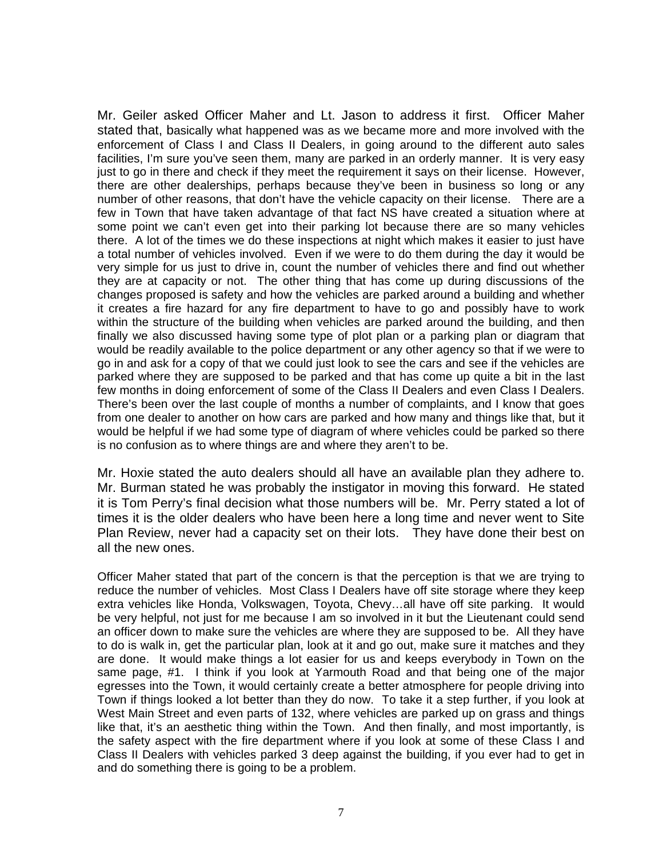Mr. Geiler asked Officer Maher and Lt. Jason to address it first. Officer Maher stated that, basically what happened was as we became more and more involved with the enforcement of Class I and Class II Dealers, in going around to the different auto sales facilities, I'm sure you've seen them, many are parked in an orderly manner. It is very easy just to go in there and check if they meet the requirement it says on their license. However, there are other dealerships, perhaps because they've been in business so long or any number of other reasons, that don't have the vehicle capacity on their license. There are a few in Town that have taken advantage of that fact NS have created a situation where at some point we can't even get into their parking lot because there are so many vehicles there. A lot of the times we do these inspections at night which makes it easier to just have a total number of vehicles involved. Even if we were to do them during the day it would be very simple for us just to drive in, count the number of vehicles there and find out whether they are at capacity or not. The other thing that has come up during discussions of the changes proposed is safety and how the vehicles are parked around a building and whether it creates a fire hazard for any fire department to have to go and possibly have to work within the structure of the building when vehicles are parked around the building, and then finally we also discussed having some type of plot plan or a parking plan or diagram that would be readily available to the police department or any other agency so that if we were to go in and ask for a copy of that we could just look to see the cars and see if the vehicles are parked where they are supposed to be parked and that has come up quite a bit in the last few months in doing enforcement of some of the Class II Dealers and even Class I Dealers. There's been over the last couple of months a number of complaints, and I know that goes from one dealer to another on how cars are parked and how many and things like that, but it would be helpful if we had some type of diagram of where vehicles could be parked so there is no confusion as to where things are and where they aren't to be.

Mr. Hoxie stated the auto dealers should all have an available plan they adhere to. Mr. Burman stated he was probably the instigator in moving this forward. He stated it is Tom Perry's final decision what those numbers will be. Mr. Perry stated a lot of times it is the older dealers who have been here a long time and never went to Site Plan Review, never had a capacity set on their lots. They have done their best on all the new ones.

Officer Maher stated that part of the concern is that the perception is that we are trying to reduce the number of vehicles. Most Class I Dealers have off site storage where they keep extra vehicles like Honda, Volkswagen, Toyota, Chevy…all have off site parking. It would be very helpful, not just for me because I am so involved in it but the Lieutenant could send an officer down to make sure the vehicles are where they are supposed to be. All they have to do is walk in, get the particular plan, look at it and go out, make sure it matches and they are done. It would make things a lot easier for us and keeps everybody in Town on the same page, #1. I think if you look at Yarmouth Road and that being one of the major egresses into the Town, it would certainly create a better atmosphere for people driving into Town if things looked a lot better than they do now. To take it a step further, if you look at West Main Street and even parts of 132, where vehicles are parked up on grass and things like that, it's an aesthetic thing within the Town. And then finally, and most importantly, is the safety aspect with the fire department where if you look at some of these Class I and Class II Dealers with vehicles parked 3 deep against the building, if you ever had to get in and do something there is going to be a problem.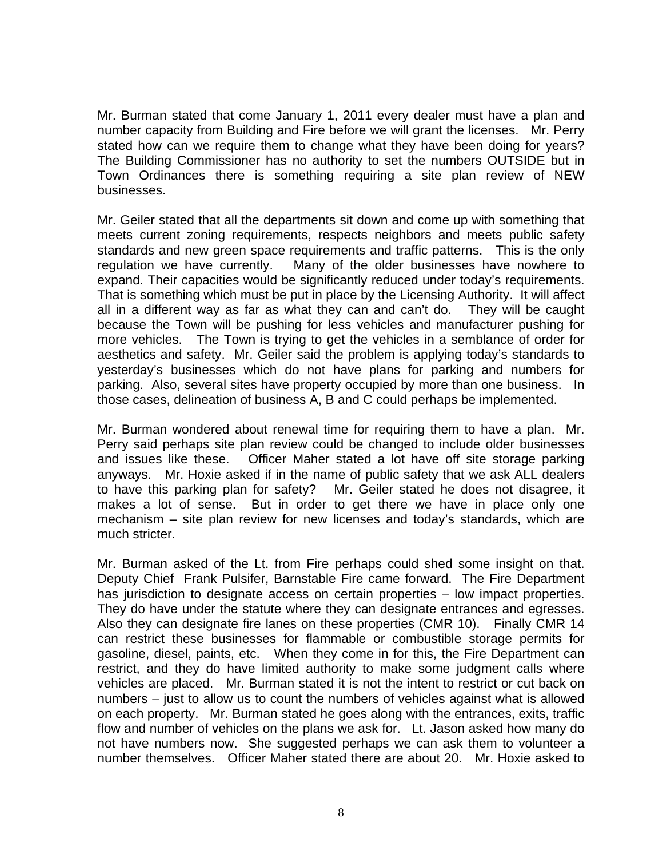Mr. Burman stated that come January 1, 2011 every dealer must have a plan and number capacity from Building and Fire before we will grant the licenses. Mr. Perry stated how can we require them to change what they have been doing for years? The Building Commissioner has no authority to set the numbers OUTSIDE but in Town Ordinances there is something requiring a site plan review of NEW businesses.

Mr. Geiler stated that all the departments sit down and come up with something that meets current zoning requirements, respects neighbors and meets public safety standards and new green space requirements and traffic patterns. This is the only regulation we have currently. Many of the older businesses have nowhere to expand. Their capacities would be significantly reduced under today's requirements. That is something which must be put in place by the Licensing Authority. It will affect all in a different way as far as what they can and can't do. They will be caught because the Town will be pushing for less vehicles and manufacturer pushing for more vehicles. The Town is trying to get the vehicles in a semblance of order for aesthetics and safety. Mr. Geiler said the problem is applying today's standards to yesterday's businesses which do not have plans for parking and numbers for parking. Also, several sites have property occupied by more than one business. In those cases, delineation of business A, B and C could perhaps be implemented.

Mr. Burman wondered about renewal time for requiring them to have a plan. Mr. Perry said perhaps site plan review could be changed to include older businesses and issues like these. Officer Maher stated a lot have off site storage parking anyways. Mr. Hoxie asked if in the name of public safety that we ask ALL dealers to have this parking plan for safety? Mr. Geiler stated he does not disagree, it makes a lot of sense. But in order to get there we have in place only one mechanism – site plan review for new licenses and today's standards, which are much stricter.

Mr. Burman asked of the Lt. from Fire perhaps could shed some insight on that. Deputy Chief Frank Pulsifer, Barnstable Fire came forward. The Fire Department has jurisdiction to designate access on certain properties – low impact properties. They do have under the statute where they can designate entrances and egresses. Also they can designate fire lanes on these properties (CMR 10). Finally CMR 14 can restrict these businesses for flammable or combustible storage permits for gasoline, diesel, paints, etc. When they come in for this, the Fire Department can restrict, and they do have limited authority to make some judgment calls where vehicles are placed. Mr. Burman stated it is not the intent to restrict or cut back on numbers – just to allow us to count the numbers of vehicles against what is allowed on each property. Mr. Burman stated he goes along with the entrances, exits, traffic flow and number of vehicles on the plans we ask for. Lt. Jason asked how many do not have numbers now. She suggested perhaps we can ask them to volunteer a number themselves. Officer Maher stated there are about 20. Mr. Hoxie asked to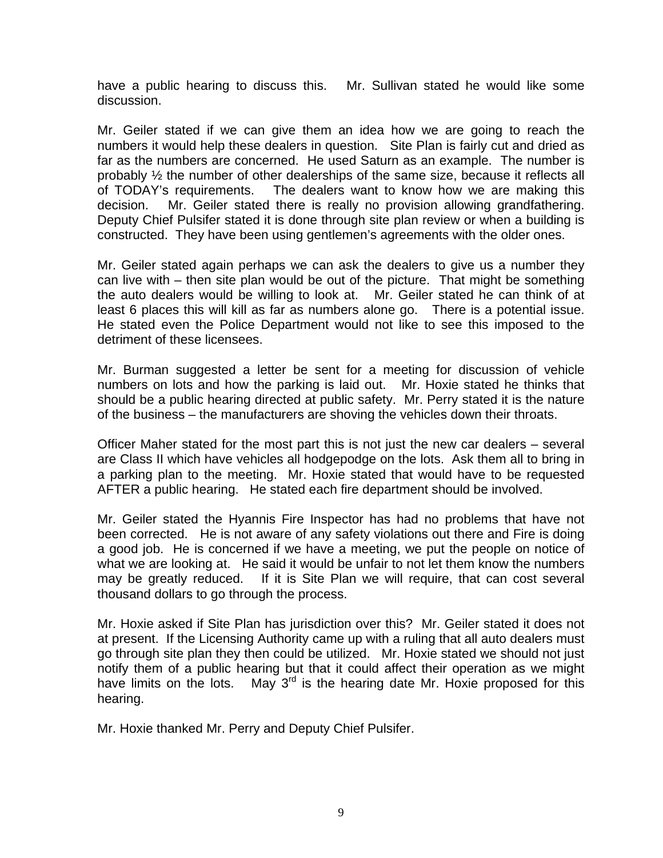have a public hearing to discuss this. Mr. Sullivan stated he would like some discussion.

Mr. Geiler stated if we can give them an idea how we are going to reach the numbers it would help these dealers in question. Site Plan is fairly cut and dried as far as the numbers are concerned. He used Saturn as an example. The number is probably ½ the number of other dealerships of the same size, because it reflects all of TODAY's requirements. The dealers want to know how we are making this decision. Mr. Geiler stated there is really no provision allowing grandfathering. Deputy Chief Pulsifer stated it is done through site plan review or when a building is constructed. They have been using gentlemen's agreements with the older ones.

Mr. Geiler stated again perhaps we can ask the dealers to give us a number they can live with – then site plan would be out of the picture. That might be something the auto dealers would be willing to look at. Mr. Geiler stated he can think of at least 6 places this will kill as far as numbers alone go. There is a potential issue. He stated even the Police Department would not like to see this imposed to the detriment of these licensees.

Mr. Burman suggested a letter be sent for a meeting for discussion of vehicle numbers on lots and how the parking is laid out. Mr. Hoxie stated he thinks that should be a public hearing directed at public safety. Mr. Perry stated it is the nature of the business – the manufacturers are shoving the vehicles down their throats.

Officer Maher stated for the most part this is not just the new car dealers – several are Class II which have vehicles all hodgepodge on the lots. Ask them all to bring in a parking plan to the meeting. Mr. Hoxie stated that would have to be requested AFTER a public hearing. He stated each fire department should be involved.

Mr. Geiler stated the Hyannis Fire Inspector has had no problems that have not been corrected. He is not aware of any safety violations out there and Fire is doing a good job. He is concerned if we have a meeting, we put the people on notice of what we are looking at. He said it would be unfair to not let them know the numbers may be greatly reduced. If it is Site Plan we will require, that can cost several thousand dollars to go through the process.

Mr. Hoxie asked if Site Plan has jurisdiction over this? Mr. Geiler stated it does not at present. If the Licensing Authority came up with a ruling that all auto dealers must go through site plan they then could be utilized. Mr. Hoxie stated we should not just notify them of a public hearing but that it could affect their operation as we might have limits on the lots. May  $3^{rd}$  is the hearing date Mr. Hoxie proposed for this hearing.

Mr. Hoxie thanked Mr. Perry and Deputy Chief Pulsifer.